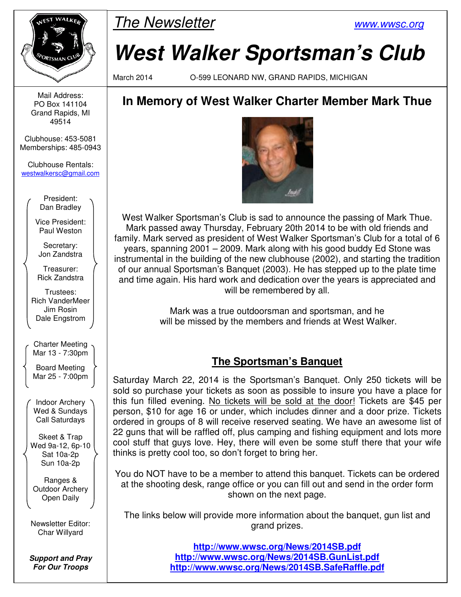

Mail Address: PO Box 141104 Grand Rapids, MI 49514

Clubhouse: 453-5081 Memberships: 485-0943

Clubhouse Rentals: westwalkersc@gmail.com

> President: Dan Bradley

Vice President: Paul Weston

Secretary: Jon Zandstra

Treasurer: Rick Zandstra

Trustees: Rich VanderMeer Jim Rosin Dale Engstrom

Charter Meeting Mar 13 - 7:30pm

Board Meeting Mar 25 - 7:00pm

Indoor Archery Wed & Sundays Call Saturdays

Skeet & Trap Wed 9a-12, 6p-10 Sat 10a-2p Sun 10a-2p

Ranges & Outdoor Archery Open Daily

Newsletter Editor: Char Willyard

**Support and Pray For Our Troops** 



# **West Walker Sportsman's Club**

March 2014 O-599 LEONARD NW, GRAND RAPIDS, MICHIGAN

# **In Memory of West Walker Charter Member Mark Thue**



West Walker Sportsman's Club is sad to announce the passing of Mark Thue. Mark passed away Thursday, February 20th 2014 to be with old friends and family. Mark served as president of West Walker Sportsman's Club for a total of 6 years, spanning 2001 – 2009. Mark along with his good buddy Ed Stone was instrumental in the building of the new clubhouse (2002), and starting the tradition of our annual Sportsman's Banquet (2003). He has stepped up to the plate time and time again. His hard work and dedication over the years is appreciated and will be remembered by all.

> Mark was a true outdoorsman and sportsman, and he will be missed by the members and friends at West Walker.

## **The Sportsman's Banquet**

Saturday March 22, 2014 is the Sportsman's Banquet. Only 250 tickets will be sold so purchase your tickets as soon as possible to insure you have a place for this fun filled evening. No tickets will be sold at the door! Tickets are \$45 per person, \$10 for age 16 or under, which includes dinner and a door prize. Tickets ordered in groups of 8 will receive reserved seating. We have an awesome list of 22 guns that will be raffled off, plus camping and fishing equipment and lots more cool stuff that guys love. Hey, there will even be some stuff there that your wife thinks is pretty cool too, so don't forget to bring her.

You do NOT have to be a member to attend this banquet. Tickets can be ordered at the shooting desk, range office or you can fill out and send in the order form shown on the next page.

The links below will provide more information about the banquet, gun list and grand prizes.

> **http://www.wwsc.org/News/2014SB.pdf http://www.wwsc.org/News/2014SB.GunList.pdf http://www.wwsc.org/News/2014SB.SafeRaffle.pdf**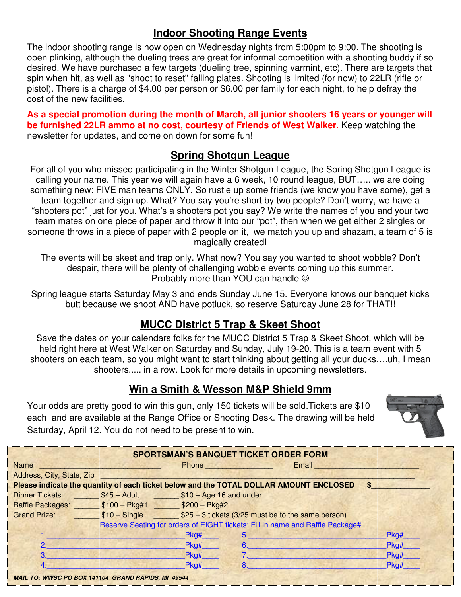#### **Indoor Shooting Range Events**

The indoor shooting range is now open on Wednesday nights from 5:00pm to 9:00. The shooting is open plinking, although the dueling trees are great for informal competition with a shooting buddy if so desired. We have purchased a few targets (dueling tree, spinning varmint, etc). There are targets that spin when hit, as well as "shoot to reset" falling plates. Shooting is limited (for now) to 22LR (rifle or pistol). There is a charge of \$4.00 per person or \$6.00 per family for each night, to help defray the cost of the new facilities.

**As a special promotion during the month of March, all junior shooters 16 years or younger will be furnished 22LR ammo at no cost, courtesy of Friends of West Walker.** Keep watching the newsletter for updates, and come on down for some fun!

#### **Spring Shotgun League**

For all of you who missed participating in the Winter Shotgun League, the Spring Shotgun League is calling your name. This year we will again have a 6 week, 10 round league, BUT….. we are doing something new: FIVE man teams ONLY. So rustle up some friends (we know you have some), get a team together and sign up. What? You say you're short by two people? Don't worry, we have a "shooters pot" just for you. What's a shooters pot you say? We write the names of you and your two team mates on one piece of paper and throw it into our "pot", then when we get either 2 singles or someone throws in a piece of paper with 2 people on it, we match you up and shazam, a team of 5 is magically created!

The events will be skeet and trap only. What now? You say you wanted to shoot wobble? Don't despair, there will be plenty of challenging wobble events coming up this summer. Probably more than YOU can handle  $\odot$ 

Spring league starts Saturday May 3 and ends Sunday June 15. Everyone knows our banquet kicks butt because we shoot AND have potluck, so reserve Saturday June 28 for THAT!!

### **MUCC District 5 Trap & Skeet Shoot**

Save the dates on your calendars folks for the MUCC District 5 Trap & Skeet Shoot, which will be held right here at West Walker on Saturday and Sunday, July 19-20. This is a team event with 5 shooters on each team, so you might want to start thinking about getting all your ducks….uh, I mean shooters..... in a row. Look for more details in upcoming newsletters.

#### **Win a Smith & Wesson M&P Shield 9mm**

Your odds are pretty good to win this gun, only 150 tickets will be sold. Tickets are \$10 each and are available at the Range Office or Shooting Desk. The drawing will be held Saturday, April 12. You do not need to be present to win.



| <b>SPORTSMAN'S BANQUET TICKET ORDER FORM</b>                                           |                                                                  |      |                                                      |       |                     |  |  |  |  |  |
|----------------------------------------------------------------------------------------|------------------------------------------------------------------|------|------------------------------------------------------|-------|---------------------|--|--|--|--|--|
| <b>Name</b>                                                                            |                                                                  |      | <b>Phone <i>Phone</i></b>                            | Email |                     |  |  |  |  |  |
| Address, City, State, Zip                                                              |                                                                  |      |                                                      |       |                     |  |  |  |  |  |
| Please indicate the quantity of each ticket below and the TOTAL DOLLAR AMOUNT ENCLOSED |                                                                  |      |                                                      |       |                     |  |  |  |  |  |
|                                                                                        |                                                                  |      | Dinner Tickets: \$45 - Adult \$10 - Age 16 and under |       |                     |  |  |  |  |  |
| Raffle Packages: ________ \$100 - Pkg#1 ______ \$200 - Pkg#2                           |                                                                  |      |                                                      |       |                     |  |  |  |  |  |
| <b>Grand Prize:</b>                                                                    | \$10 - Single \$25 - 3 tickets (3/25 must be to the same person) |      |                                                      |       |                     |  |  |  |  |  |
| Reserve Seating for orders of EIGHT tickets: Fill in name and Raffle Package#          |                                                                  |      |                                                      |       |                     |  |  |  |  |  |
|                                                                                        |                                                                  | Pkg# |                                                      |       | Pkg#                |  |  |  |  |  |
| 2.                                                                                     |                                                                  | Pkg# | 6.                                                   |       | Pkg#                |  |  |  |  |  |
| 3 <sup>1</sup>                                                                         |                                                                  | Pkg# | $7.$ $\overline{\phantom{1}}$                        |       | Pkg#                |  |  |  |  |  |
| 4 <sup>1</sup>                                                                         |                                                                  | Pkg# |                                                      |       | $P$ <sub>kg</sub> # |  |  |  |  |  |
| <b>MAIL TO: WWSC PO BOX 141104 GRAND RAPIDS, MI 49544</b>                              |                                                                  |      |                                                      |       |                     |  |  |  |  |  |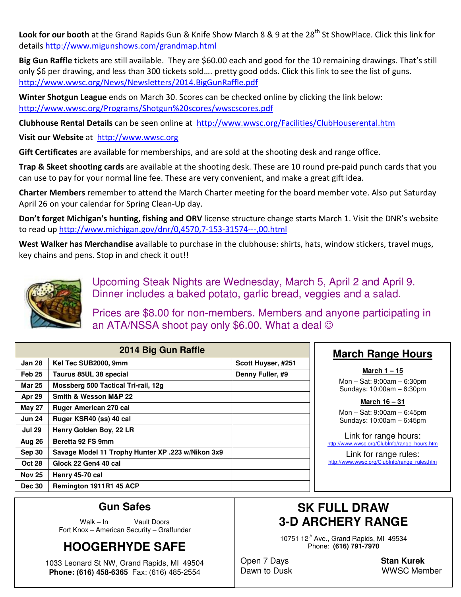**Look for our booth** at the Grand Rapids Gun & Knife Show March 8 & 9 at the 28<sup>th</sup> St ShowPlace. Click this link for details http://www.migunshows.com/grandmap.html

**Big Gun Raffle** tickets are still available. They are \$60.00 each and good for the 10 remaining drawings. That's still only \$6 per drawing, and less than 300 tickets sold…. pretty good odds. Click this link to see the list of guns. http://www.wwsc.org/News/Newsletters/2014.BigGunRaffle.pdf

**Winter Shotgun League** ends on March 30. Scores can be checked online by clicking the link below: http://www.wwsc.org/Programs/Shotgun%20scores/wwscscores.pdf

**Clubhouse Rental Details** can be seen online at http://www.wwsc.org/Facilities/ClubHouserental.htm

**Visit our Website** at http://www.wwsc.org

**Gift Certificates** are available for memberships, and are sold at the shooting desk and range office.

**Trap & Skeet shooting cards** are available at the shooting desk. These are 10 round pre-paid punch cards that you can use to pay for your normal line fee. These are very convenient, and make a great gift idea.

**Charter Members** remember to attend the March Charter meeting for the board member vote. Also put Saturday April 26 on your calendar for Spring Clean-Up day.

**Don't forget Michigan's hunting, fishing and ORV** license structure change starts March 1. Visit the DNR's website to read up http://www.michigan.gov/dnr/0,4570,7-153-31574---,00.html

**West Walker has Merchandise** available to purchase in the clubhouse: shirts, hats, window stickers, travel mugs, key chains and pens. Stop in and check it out!!



Upcoming Steak Nights are Wednesday, March 5, April 2 and April 9. Dinner includes a baked potato, garlic bread, veggies and a salad.

Prices are \$8.00 for non-members. Members and anyone participating in an ATA/NSSA shoot pay only \$6.00. What a deal  $\odot$ 

| 2014 Big Gun Raffle |                                                   |                    |  |  |  |
|---------------------|---------------------------------------------------|--------------------|--|--|--|
| Jan 28              | Kel Tec SUB2000, 9mm                              | Scott Huyser, #251 |  |  |  |
| Feb <sub>25</sub>   | Taurus 85UL 38 special                            | Denny Fuller, #9   |  |  |  |
| Mar 25              | Mossberg 500 Tactical Tri-rail, 12g               |                    |  |  |  |
| Apr 29              | Smith & Wesson M&P 22                             |                    |  |  |  |
| <b>May 27</b>       | <b>Ruger American 270 cal</b>                     |                    |  |  |  |
| <b>Jun 24</b>       | Ruger KSR40 (ss) 40 cal                           |                    |  |  |  |
| <b>Jul 29</b>       | Henry Golden Boy, 22 LR                           |                    |  |  |  |
| Aug 26              | Beretta 92 FS 9mm                                 |                    |  |  |  |
| <b>Sep 30</b>       | Savage Model 11 Trophy Hunter XP .223 w/Nikon 3x9 |                    |  |  |  |
| <b>Oct 28</b>       | Glock 22 Gen4 40 cal                              |                    |  |  |  |
| <b>Nov 25</b>       | Henry 45-70 cal                                   |                    |  |  |  |
| <b>Dec 30</b>       | Remington 1911R1 45 ACP                           |                    |  |  |  |

#### **March Range Hours**

**March 1 – 15** Mon – Sat: 9:00am – 6:30pm Sundays: 10:00am – 6:30pm

**March 16 – 31**

Mon – Sat: 9:00am – 6:45pm Sundays: 10:00am – 6:45pm

Link for range hours: http://www.wwsc.org/ClubInfo/range\_hours.htm

Link for range rules: http://www.wwsc.org/ClubInfo/range\_rules.htm

#### **Gun Safes**

Walk – In Vault Doors Fort Knox – American Security – Graffunder

## **HOOGERHYDE SAFE**

1033 Leonard St NW, Grand Rapids, MI 49504 **Phone: (616) 458-6365** Fax: (616) 485-2554

## **SK FULL DRAW 3-D ARCHERY RANGE**

10751 12<sup>th</sup> Ave., Grand Rapids, MI 49534 Phone: **(616) 791-7970** 

Open 7 Days **Stan Kurek**

Dawn to Dusk WWSC Member